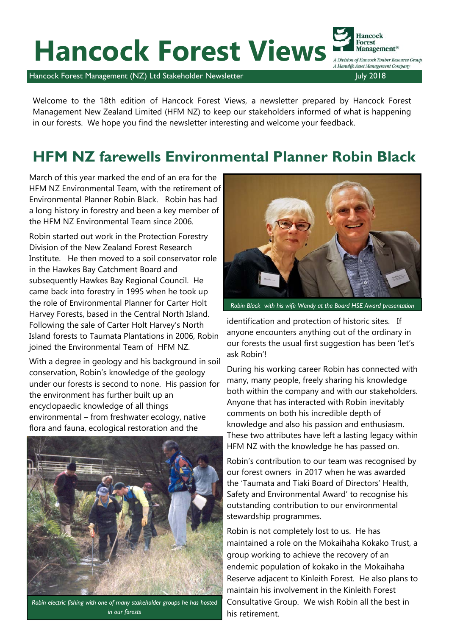# Hancock Forest Views **Management**®

Hancock Forest Management (NZ) Ltd Stakeholder Newsletter July 2018

Welcome to the 18th edition of Hancock Forest Views, a newsletter prepared by Hancock Forest Management New Zealand Limited (HFM NZ) to keep our stakeholders informed of what is happening in our forests. We hope you find the newsletter interesting and welcome your feedback.

## **HFM NZ farewells Environmental Planner Robin Black**

March of this year marked the end of an era for the HFM NZ Environmental Team, with the retirement of Environmental Planner Robin Black. Robin has had a long history in forestry and been a key member of the HFM NZ Environmental Team since 2006.

Robin started out work in the Protection Forestry Division of the New Zealand Forest Research Institute. He then moved to a soil conservator role in the Hawkes Bay Catchment Board and subsequently Hawkes Bay Regional Council. He came back into forestry in 1995 when he took up the role of Environmental Planner for Carter Holt Harvey Forests, based in the Central North Island. Following the sale of Carter Holt Harvey's North Island forests to Taumata Plantations in 2006, Robin joined the Environmental Team of HFM NZ.

With a degree in geology and his background in soil conservation, Robin's knowledge of the geology under our forests is second to none. His passion for the environment has further built up an encyclopaedic knowledge of all things environmental – from freshwater ecology, native flora and fauna, ecological restoration and the



*Robin electric fishing with one of many stakeholder groups he has hosted in our forests* 



*Robin Black with his wife Wendy at the Board HSE Award presentation* 

identification and protection of historic sites. If anyone encounters anything out of the ordinary in our forests the usual first suggestion has been 'let's ask Robin'!

During his working career Robin has connected with many, many people, freely sharing his knowledge both within the company and with our stakeholders. Anyone that has interacted with Robin inevitably comments on both his incredible depth of knowledge and also his passion and enthusiasm. These two attributes have left a lasting legacy within HFM NZ with the knowledge he has passed on.

Robin's contribution to our team was recognised by our forest owners in 2017 when he was awarded the 'Taumata and Tiaki Board of Directors' Health, Safety and Environmental Award' to recognise his outstanding contribution to our environmental stewardship programmes.

Robin is not completely lost to us. He has maintained a role on the Mokaihaha Kokako Trust, a group working to achieve the recovery of an endemic population of kokako in the Mokaihaha Reserve adjacent to Kinleith Forest. He also plans to maintain his involvement in the Kinleith Forest Consultative Group. We wish Robin all the best in his retirement.



Hancock Forest **Management®**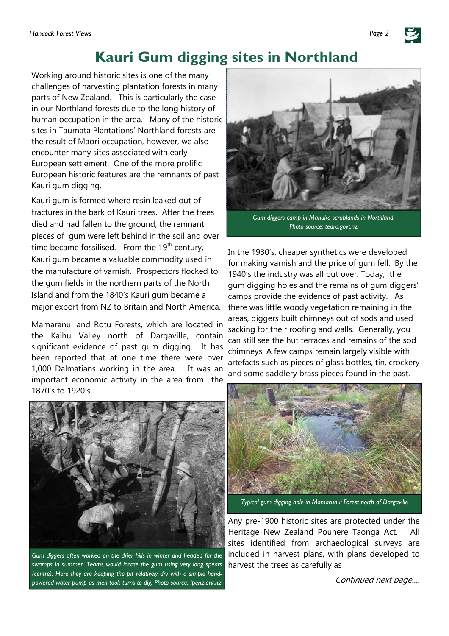*Page 2* 

### **Kauri Gum digging sites in Northland**

Working around historic sites is one of the many challenges of harvesting plantation forests in many parts of New Zealand. This is particularly the case in our Northland forests due to the long history of human occupation in the area. Many of the historic sites in Taumata Plantations' Northland forests are the result of Maori occupation, however, we also encounter many sites associated with early European settlement. One of the more prolific European historic features are the remnants of past Kauri gum digging.

Kauri gum is formed where resin leaked out of fractures in the bark of Kauri trees. After the trees died and had fallen to the ground, the remnant pieces of gum were left behind in the soil and over time became fossilised. From the  $19<sup>th</sup>$  century, Kauri gum became a valuable commodity used in the manufacture of varnish. Prospectors flocked to the gum fields in the northern parts of the North Island and from the 1840's Kauri gum became a major export from NZ to Britain and North America.

Mamaranui and Rotu Forests, which are located in the Kaihu Valley north of Dargaville, contain significant evidence of past gum digging. It has been reported that at one time there were over 1,000 Dalmatians working in the area. It was an important economic activity in the area from the 1870's to 1920's.



*Gum diggers often worked on the drier hills in winter and headed for the swamps in summer. Teams would locate the gum using very long spears (centre). Here they are keeping the pit relatively dry with a simple handpowered water pump as men took turns to dig. Photo source: Ipenz.org.nz* 



*Gum diggers camp in Manuka scrublands in Northland. Photo source: teara.govt.nz* 

In the 1930's, cheaper synthetics were developed for making varnish and the price of gum fell. By the 1940's the industry was all but over. Today, the gum digging holes and the remains of gum diggers' camps provide the evidence of past activity. As there was little woody vegetation remaining in the areas, diggers built chimneys out of sods and used sacking for their roofing and walls. Generally, you can still see the hut terraces and remains of the sod chimneys. A few camps remain largely visible with artefacts such as pieces of glass bottles, tin, crockery and some saddlery brass pieces found in the past.



*Typical gum digging hole in Mamarunui Forest north of Dargaville* 

Any pre-1900 historic sites are protected under the Heritage New Zealand Pouhere Taonga Act. All sites identified from archaeological surveys are included in harvest plans, with plans developed to harvest the trees as carefully as

Continued next page….

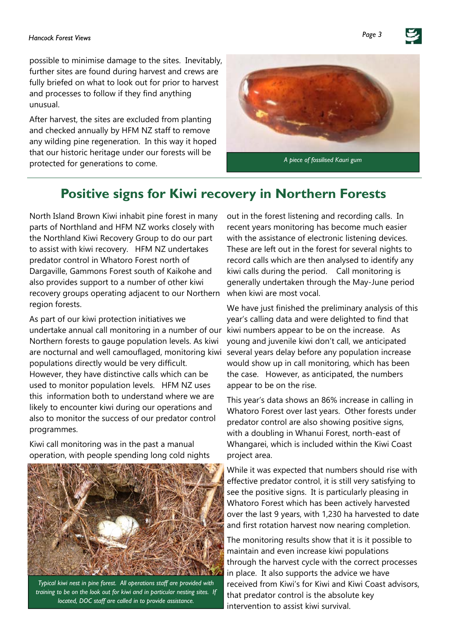#### **Hancock Forest Views**

possible to minimise damage to the sites. Inevitably, further sites are found during harvest and crews are fully briefed on what to look out for prior to harvest and processes to follow if they find anything unusual.

After harvest, the sites are excluded from planting and checked annually by HFM NZ staff to remove any wilding pine regeneration. In this way it hoped that our historic heritage under our forests will be protected for generations to come. *A piece of fossilised Kauri gum* 



### **Positive signs for Kiwi recovery in Northern Forests**

North Island Brown Kiwi inhabit pine forest in many parts of Northland and HFM NZ works closely with the Northland Kiwi Recovery Group to do our part to assist with kiwi recovery. HFM NZ undertakes predator control in Whatoro Forest north of Dargaville, Gammons Forest south of Kaikohe and also provides support to a number of other kiwi recovery groups operating adjacent to our Northern region forests.

As part of our kiwi protection initiatives we undertake annual call monitoring in a number of our Northern forests to gauge population levels. As kiwi are nocturnal and well camouflaged, monitoring kiwi populations directly would be very difficult. However, they have distinctive calls which can be used to monitor population levels. HFM NZ uses this information both to understand where we are likely to encounter kiwi during our operations and also to monitor the success of our predator control programmes.

Kiwi call monitoring was in the past a manual operation, with people spending long cold nights



*Typical kiwi nest in pine forest. All operations staff are provided with training to be on the look out for kiwi and in particular nesting sites. If located, DOC staff are called in to provide assistance.* 

out in the forest listening and recording calls. In recent years monitoring has become much easier with the assistance of electronic listening devices. These are left out in the forest for several nights to record calls which are then analysed to identify any kiwi calls during the period. Call monitoring is generally undertaken through the May-June period when kiwi are most vocal.

We have just finished the preliminary analysis of this year's calling data and were delighted to find that kiwi numbers appear to be on the increase. As young and juvenile kiwi don't call, we anticipated several years delay before any population increase would show up in call monitoring, which has been the case. However, as anticipated, the numbers appear to be on the rise.

This year's data shows an 86% increase in calling in Whatoro Forest over last years. Other forests under predator control are also showing positive signs, with a doubling in Whanui Forest, north-east of Whangarei, which is included within the Kiwi Coast project area.

While it was expected that numbers should rise with effective predator control, it is still very satisfying to see the positive signs. It is particularly pleasing in Whatoro Forest which has been actively harvested over the last 9 years, with 1,230 ha harvested to date and first rotation harvest now nearing completion.

The monitoring results show that it is it possible to maintain and even increase kiwi populations through the harvest cycle with the correct processes in place. It also supports the advice we have received from Kiwi's for Kiwi and Kiwi Coast advisors, that predator control is the absolute key intervention to assist kiwi survival.



*Page 3*